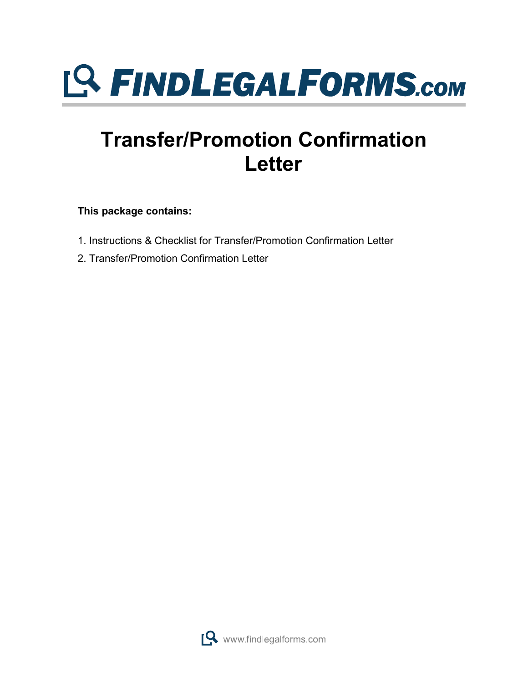

## **Transfer/Promotion Confirmation Letter**

**This package contains:**

- 1. Instructions & Checklist for Transfer/Promotion Confirmation Letter
- 2. Transfer/Promotion Confirmation Letter

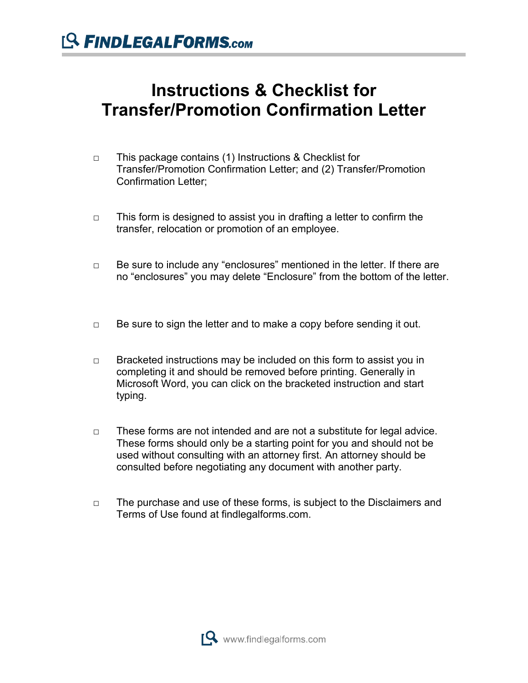## **Instructions & Checklist for Transfer/Promotion Confirmation Letter**

- □ This package contains (1) Instructions & Checklist for Transfer/Promotion Confirmation Letter; and (2) Transfer/Promotion Confirmation Letter;
- $\Box$  This form is designed to assist you in drafting a letter to confirm the transfer, relocation or promotion of an employee.
- □ Be sure to include any "enclosures" mentioned in the letter. If there are no "enclosures" you may delete "Enclosure" from the bottom of the letter.
- $\Box$  Be sure to sign the letter and to make a copy before sending it out.
- $\Box$  Bracketed instructions may be included on this form to assist you in completing it and should be removed before printing. Generally in Microsoft Word, you can click on the bracketed instruction and start typing.
- $\Box$  These forms are not intended and are not a substitute for legal advice. These forms should only be a starting point for you and should not be used without consulting with an attorney first. An attorney should be consulted before negotiating any document with another party.
- □ The purchase and use of these forms, is subject to the Disclaimers and Terms of Use found at findlegalforms.com.